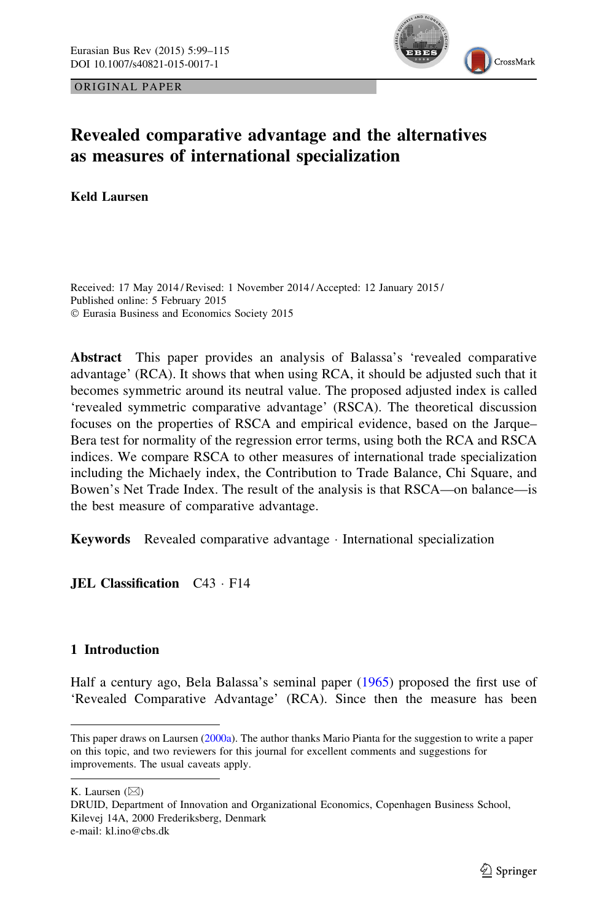ORIGINAL PAPER



# Revealed comparative advantage and the alternatives as measures of international specialization

Keld Laursen

Received: 17 May 2014 / Revised: 1 November 2014 / Accepted: 12 January 2015 / Published online: 5 February 2015 - Eurasia Business and Economics Society 2015

Abstract This paper provides an analysis of Balassa's 'revealed comparative advantage' (RCA). It shows that when using RCA, it should be adjusted such that it becomes symmetric around its neutral value. The proposed adjusted index is called 'revealed symmetric comparative advantage' (RSCA). The theoretical discussion focuses on the properties of RSCA and empirical evidence, based on the Jarque– Bera test for normality of the regression error terms, using both the RCA and RSCA indices. We compare RSCA to other measures of international trade specialization including the Michaely index, the Contribution to Trade Balance, Chi Square, and Bowen's Net Trade Index. The result of the analysis is that RSCA—on balance—is the best measure of comparative advantage.

Keywords Revealed comparative advantage - International specialization

JEL Classification C43 - F14

## 1 Introduction

Half a century ago, Bela Balassa's seminal paper [\(1965](#page-14-0)) proposed the first use of 'Revealed Comparative Advantage' (RCA). Since then the measure has been

K. Laursen  $(\boxtimes)$ 

This paper draws on Laursen ([2000a](#page-15-0)). The author thanks Mario Pianta for the suggestion to write a paper on this topic, and two reviewers for this journal for excellent comments and suggestions for improvements. The usual caveats apply.

DRUID, Department of Innovation and Organizational Economics, Copenhagen Business School, Kilevej 14A, 2000 Frederiksberg, Denmark e-mail: kl.ino@cbs.dk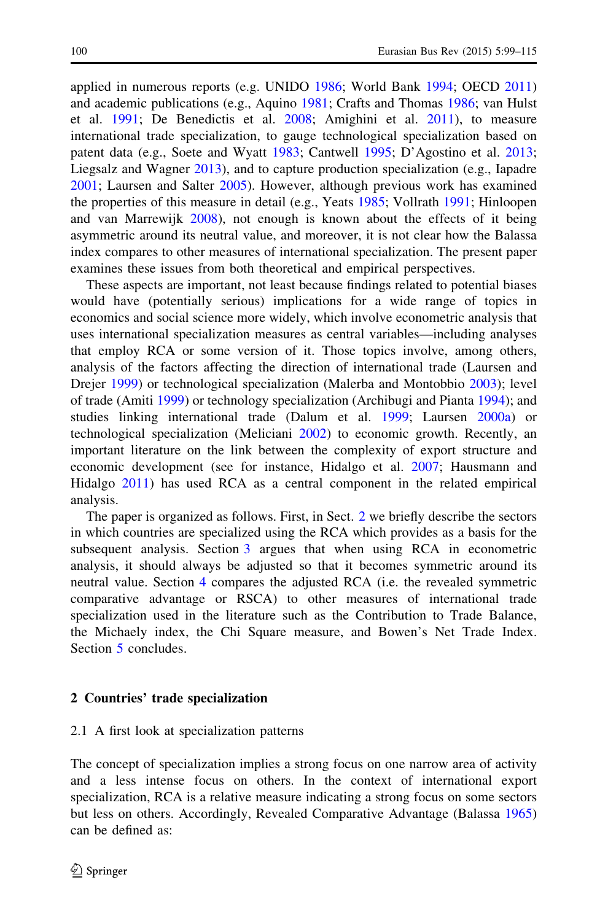<span id="page-1-0"></span>applied in numerous reports (e.g. UNIDO [1986](#page-16-0); World Bank [1994;](#page-16-0) OECD [2011](#page-16-0)) and academic publications (e.g., Aquino [1981;](#page-14-0) Crafts and Thomas [1986](#page-15-0); van Hulst et al. [1991;](#page-16-0) De Benedictis et al. [2008;](#page-15-0) Amighini et al. [2011\)](#page-14-0), to measure international trade specialization, to gauge technological specialization based on patent data (e.g., Soete and Wyatt [1983;](#page-16-0) Cantwell [1995](#page-15-0); D'Agostino et al. [2013;](#page-15-0) Liegsalz and Wagner [2013](#page-15-0)), and to capture production specialization (e.g., Iapadre [2001;](#page-15-0) Laursen and Salter [2005\)](#page-15-0). However, although previous work has examined the properties of this measure in detail (e.g., Yeats [1985;](#page-16-0) Vollrath [1991](#page-16-0); Hinloopen and van Marrewijk [2008\)](#page-15-0), not enough is known about the effects of it being asymmetric around its neutral value, and moreover, it is not clear how the Balassa index compares to other measures of international specialization. The present paper examines these issues from both theoretical and empirical perspectives.

These aspects are important, not least because findings related to potential biases would have (potentially serious) implications for a wide range of topics in economics and social science more widely, which involve econometric analysis that uses international specialization measures as central variables—including analyses that employ RCA or some version of it. Those topics involve, among others, analysis of the factors affecting the direction of international trade (Laursen and Drejer [1999\)](#page-15-0) or technological specialization (Malerba and Montobbio [2003](#page-15-0)); level of trade (Amiti [1999](#page-14-0)) or technology specialization (Archibugi and Pianta [1994](#page-14-0)); and studies linking international trade (Dalum et al. [1999;](#page-15-0) Laursen [2000a\)](#page-15-0) or technological specialization (Meliciani [2002](#page-16-0)) to economic growth. Recently, an important literature on the link between the complexity of export structure and economic development (see for instance, Hidalgo et al. [2007;](#page-15-0) Hausmann and Hidalgo [2011](#page-15-0)) has used RCA as a central component in the related empirical analysis.

The paper is organized as follows. First, in Sect. 2 we briefly describe the sectors in which countries are specialized using the RCA which provides as a basis for the subsequent analysis. Section [3](#page-5-0) argues that when using RCA in econometric analysis, it should always be adjusted so that it becomes symmetric around its neutral value. Section [4](#page-9-0) compares the adjusted RCA (i.e. the revealed symmetric comparative advantage or RSCA) to other measures of international trade specialization used in the literature such as the Contribution to Trade Balance, the Michaely index, the Chi Square measure, and Bowen's Net Trade Index. Section [5](#page-13-0) concludes.

# 2 Countries' trade specialization

## 2.1 A first look at specialization patterns

The concept of specialization implies a strong focus on one narrow area of activity and a less intense focus on others. In the context of international export specialization, RCA is a relative measure indicating a strong focus on some sectors but less on others. Accordingly, Revealed Comparative Advantage (Balassa [1965](#page-14-0)) can be defined as: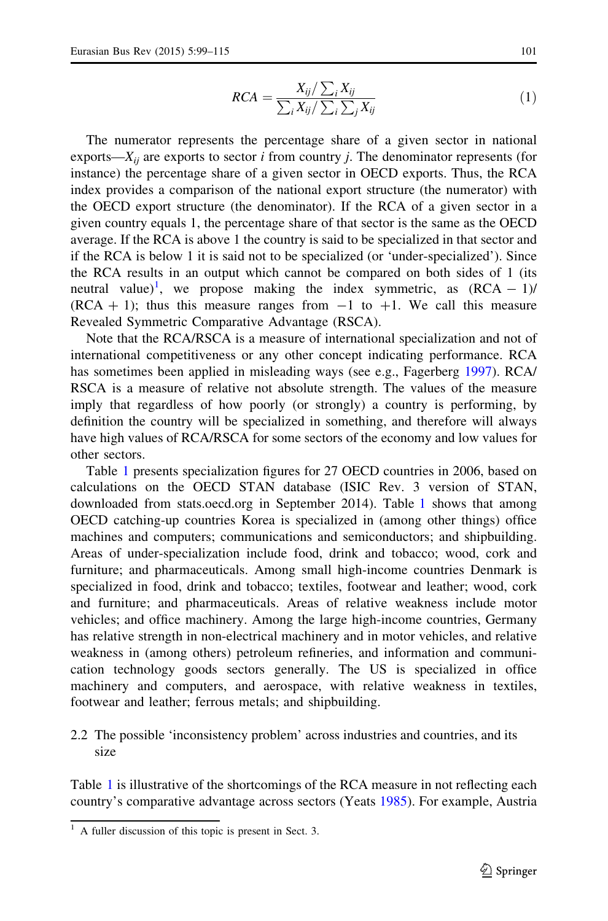$$
RCA = \frac{X_{ij}/\sum_{i} X_{ij}}{\sum_{i} X_{ij}/\sum_{i} \sum_{j} X_{ij}}
$$
(1)

The numerator represents the percentage share of a given sector in national exports— $X_{ii}$  are exports to sector *i* from country *j*. The denominator represents (for instance) the percentage share of a given sector in OECD exports. Thus, the RCA index provides a comparison of the national export structure (the numerator) with the OECD export structure (the denominator). If the RCA of a given sector in a given country equals 1, the percentage share of that sector is the same as the OECD average. If the RCA is above 1 the country is said to be specialized in that sector and if the RCA is below 1 it is said not to be specialized (or 'under-specialized'). Since the RCA results in an output which cannot be compared on both sides of 1 (its neutral value)<sup>1</sup>, we propose making the index symmetric, as  $(RCA - 1)$  $(RCA + 1)$ ; thus this measure ranges from  $-1$  to  $+1$ . We call this measure Revealed Symmetric Comparative Advantage (RSCA).

Note that the RCA/RSCA is a measure of international specialization and not of international competitiveness or any other concept indicating performance. RCA has sometimes been applied in misleading ways (see e.g., Fagerberg [1997\)](#page-15-0). RCA/ RSCA is a measure of relative not absolute strength. The values of the measure imply that regardless of how poorly (or strongly) a country is performing, by definition the country will be specialized in something, and therefore will always have high values of RCA/RSCA for some sectors of the economy and low values for other sectors.

Table [1](#page-3-0) presents specialization figures for 27 OECD countries in 2006, based on calculations on the OECD STAN database (ISIC Rev. 3 version of STAN, downloaded from stats.oecd.org in September 2014). Table [1](#page-3-0) shows that among OECD catching-up countries Korea is specialized in (among other things) office machines and computers; communications and semiconductors; and shipbuilding. Areas of under-specialization include food, drink and tobacco; wood, cork and furniture; and pharmaceuticals. Among small high-income countries Denmark is specialized in food, drink and tobacco; textiles, footwear and leather; wood, cork and furniture; and pharmaceuticals. Areas of relative weakness include motor vehicles; and office machinery. Among the large high-income countries, Germany has relative strength in non-electrical machinery and in motor vehicles, and relative weakness in (among others) petroleum refineries, and information and communication technology goods sectors generally. The US is specialized in office machinery and computers, and aerospace, with relative weakness in textiles, footwear and leather; ferrous metals; and shipbuilding.

2.2 The possible 'inconsistency problem' across industries and countries, and its size

Table [1](#page-3-0) is illustrative of the shortcomings of the RCA measure in not reflecting each country's comparative advantage across sectors (Yeats [1985](#page-16-0)). For example, Austria

 $1$  A fuller discussion of this topic is present in Sect. 3.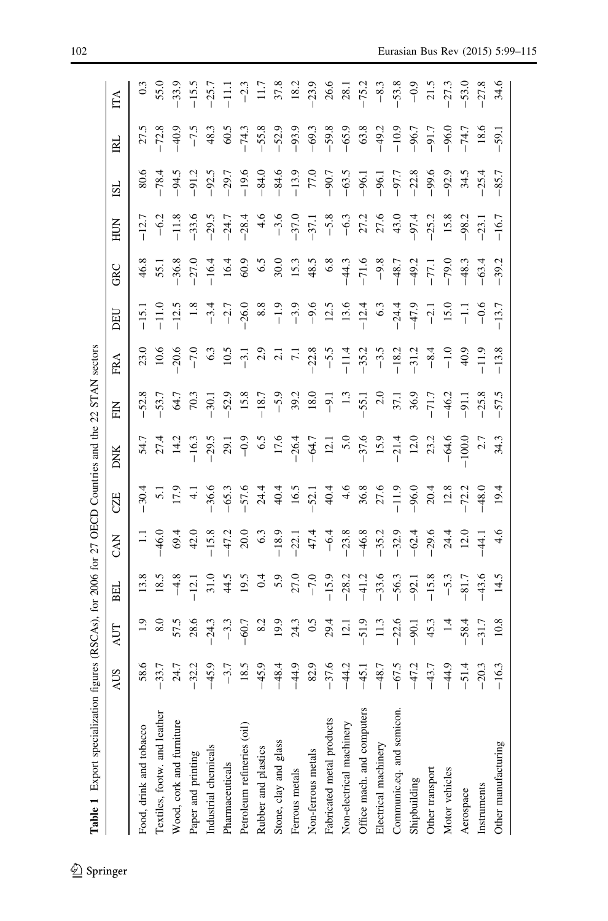<span id="page-3-0"></span>

| Table 1 Export specialization |            |                           |         |         |                 | figures (RSCAs), for 2006 for 27 OECD Countries and the 22 | <b>STAN</b>    | sectors                                |               |         |         |              |         |                 |
|-------------------------------|------------|---------------------------|---------|---------|-----------------|------------------------------------------------------------|----------------|----------------------------------------|---------------|---------|---------|--------------|---------|-----------------|
|                               | <b>AUS</b> | AUT                       | BEL     | CAN     | Ë               | <b>DNK</b>                                                 | E              | FRA                                    | DEU           | GRC     | HUN     | $\mathbb{E}$ | 리       | IТА             |
| Food, drink and tobacco       | 58.6       |                           | 13.8    | $\Xi$   | 30.4            | 54.7                                                       | 52.8           | 23.0                                   | $-15.1$       | 46.8    | $-12.7$ | 80.6         | 27.5    | ತ               |
| Textiles, footw. and leather  | $-33.7$    | $\frac{8}{8}$             | 18.5    | $-46.0$ | $\overline{5}$  | 27.4                                                       | $-53.7$        | 10.6                                   |               | 55.1    | $-6.2$  | $-78.4$      | 72.8    | 55.             |
| Wood, cork and furniture      | 24.7       | 57.5                      | $-4.8$  | 69.4    | 17.9            | 14.2                                                       | 64.7           | $-20.6$                                | $-12.5$       | $-36.8$ | $-11.8$ | $-94.5$      | $-40.9$ | $-33.9$         |
| Paper and printing            | $-32.2$    | 28.6                      | $-12.$  | 42.0    | $\frac{1}{4}$   | $-16.3$                                                    | 70.3           | $-7.0$                                 |               | $-27.0$ | $-33.6$ | $-91.2$      | $-7.5$  | $-15.5$         |
| Industrial chemicals          | $-45.9$    | .24.3                     | 31.0    | $-15.8$ | $-36.6$         | $-29.5$                                                    | $-30.1$        | 63                                     | $-3.4$        | $-16.4$ | $-29.5$ | $-92.5$      | 48.3    | $-25.$          |
| Pharmaceuticals               | $-3$       | $-3.3$                    | 44.5    | $-47.2$ | $-65.3$         | 29.1                                                       | $-52.9$        | 10.5                                   | $-2.7$        | 16.4    | $-24.7$ | $-29.7$      | 60.5    |                 |
| Petroleum refineries (oil)    | 18.5       | $-60.7$                   | 19.5    | 20.0    |                 |                                                            | 15.8           |                                        | $-26.0$       | 60.9    | $-28.4$ | $-19.6$      | $-74.3$ | $-2.3$          |
| Rubber and plastics           | $-45.9$    | 8.2                       | 0.4     | 63      | $-57.6$<br>24.4 | $-0.9$<br>6.5<br>17.6<br>17.6                              | $-18.7$        | $-3.1$<br>2.9<br>2.1<br>7.1<br>$-22.8$ |               | 6.5     | 4.6     | $-84.0$      | $-55.8$ | $\frac{17}{11}$ |
| Stone, clay and glass         | $-48.4$    | 19.9                      | 5.9     | $-18.9$ | 40.4            |                                                            | $-5.9$<br>39.2 |                                        | $8.8$<br>-1.9 | 30.0    | $-3.6$  | $-84.6$      | $-52.9$ | 37.8            |
| Ferrous metals                | $-44.9$    | 24.3                      | 27.0    | $-22.1$ | 16.5            |                                                            |                |                                        |               | 15.3    | $-37.0$ | $-13.9$      | $-93.9$ | 18.2            |
| Non-ferrous metals            | 82.9       | $\widetilde{\mathcal{C}}$ | $-7.0$  | 47.4    | $-52.1$         | $-64.7$<br>12.1<br>15.0<br>5.0<br>-37.6<br>15.9            |                |                                        | $-9.6$        | 48.5    | $-37.1$ | 77.0         | $-69.3$ | $-23.9$         |
| Fabricated metal products     | $-37.6$    | 29.4                      | $-15.9$ | $-6.4$  | 40.4            |                                                            | $-9.1$         | $-5.5$                                 | 12.5          | 6.8     | $-5.8$  | $-90.7$      | $-59.8$ | 26.6<br>28.1    |
| Non-electrical machinery      | $-44.2$    | $\overline{2}$            | $-28.2$ | $-23.8$ |                 |                                                            | $\ddot{1}$     | $-11.4$                                | 13.6          | $-44.3$ | $-6.3$  | $-63.5$      | $-65.9$ |                 |
| Office mach. and computers    | $-45.1$    | $-51.9$                   | $-41.2$ | $-46.8$ | $4.6$<br>36.8   |                                                            | $-55.1$        | $-35.2$                                | $-12.4$       | $-71.6$ | 27.2    | $-96.1$      | 63.8    | $-75.2$         |
| Electrical machinery          | $-48.7$    | 11.3                      | $-33.6$ | $-35.2$ | 27.6            |                                                            | 2.0            | $-3.5$                                 | 63            | $-9.8$  | 27.6    | $-96.1$      | $-49.2$ | $-8.3$          |
| Communic.eq. and semicon.     | $-67.3$    | $-22.6$                   | $-56.3$ | $-32.9$ | $-11.9$         |                                                            | 37.1           | $-18.2$                                | $-24.4$       | $-48.7$ | 43.0    | $-97.7$      | $-10.9$ | $-53.8$         |
| Shipbuilding                  | $-47.7$    | $-90.1$                   | $-92.1$ | $-62.4$ | $-96.0$         | $\frac{12.0}{23.2}$                                        | 36.9           | $-31.2$                                | $-47.9$       | $-49.2$ | $-97.4$ | $-22.8$      | $-96.7$ | $-0.9$          |
| Other transport               | $-43.$     | 45.3                      | $-15.8$ | $-29.6$ | 20.4            |                                                            | $-71.7$        | $-8.4$                                 | $\ddot{q}$    | $-77$ . | $-25.2$ | $-99.6$      | $-91.7$ | 21.5            |
| Motor vehicles                | $-44.9$    |                           | $-5.3$  | 24.4    | 12.8            | $-64.6$                                                    | $-46.2$        |                                        | 15.0          | $-79.0$ | 15.8    | $-92.9$      | $-96.0$ | $-27.3$         |
| Aerospace                     | $-51.4$    | $-58.4$                   | 81.7    | 12.0    | $-72.2$         | .100.0                                                     | $-91.$         | 40.9                                   |               | $-48.3$ | $-98.2$ | 34.5         | $-74.7$ | $-53.0$         |
| Instruments                   | $-20.3$    | $-31.7$                   | $-43.6$ | $-44.1$ | $-48.0$         | $\overline{c}$                                             | $-25.8$        | $-11.9$                                | $rac{6}{1}$   | $-63.4$ | $-23.$  | $-25.4$      | 18.6    | $-27.8$         |
| Other manufacturing           | $-16.3$    | 10.8                      | 14.5    | 4.6     | 19.4            | 34.3                                                       | -57.5          | $-13.8$                                | $-13.7$       | $-39.2$ | $-16.7$ | $-85.7$      | $-59.1$ | 34.6            |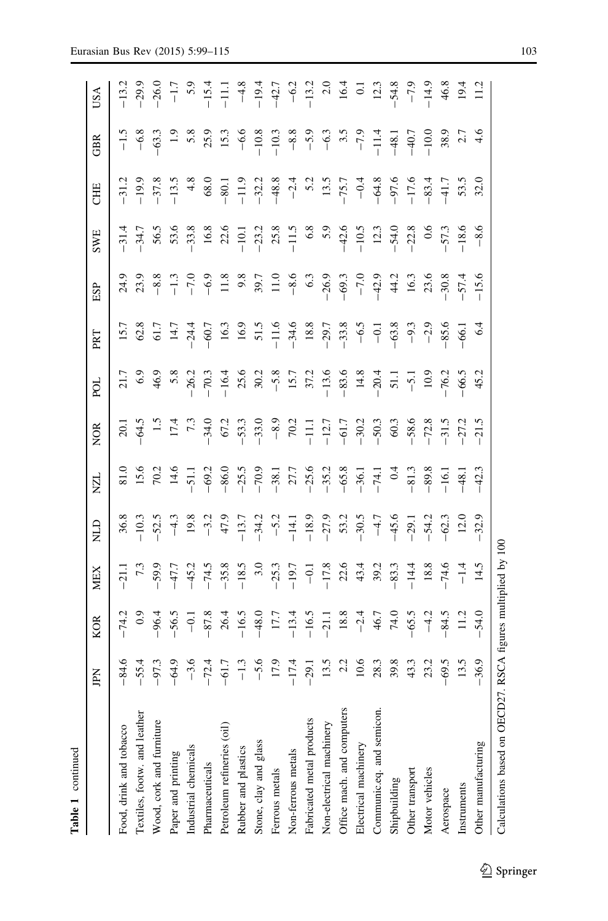|                               | KH      | KOR                            | MEX                      | Ê             | ķ           | <b>NOR</b>        | g                 | PRT            | ESP            | SWE     | E             | <b>GBR</b>     | USA            |
|-------------------------------|---------|--------------------------------|--------------------------|---------------|-------------|-------------------|-------------------|----------------|----------------|---------|---------------|----------------|----------------|
| Food, drink and tobacco       | $-84.6$ | $-74.2$                        |                          | 36.8          |             | $\overline{20}$ . |                   | 15.7           |                |         | $-31$         |                |                |
| Textiles, footw. and leather  | $-55.4$ | $\ddot{\circ}$                 |                          | $-10.3$       | 15.6        |                   | $\frac{6}{9}$     | 62.8           |                | $-34.7$ | $-19.9$       | $-6.8$         | $-29.9$        |
| Wood, cork and furniture      | .66-    | $-96.4$                        | 59.9                     |               | 70.2        |                   | 46.9              |                | $-8.8$         | 56.5    | $-37.8$       | $-63.3$        | $-26.$         |
| Paper and printing            | $-64.9$ | $-56.5$                        | -17.7                    |               | 14.6        | 17.4              | 5.8               | 14.7           |                | 53.6    | $-13.5$       |                |                |
| Industrial chemicals          | $-3.6$  | $\overline{q}$                 | $-45.2$                  | 19.8          |             |                   | $-26.2$           | $-24.4$        | $-7.$          | $-33.8$ | $\frac{8}{4}$ | 5.8            | $\frac{5}{3}$  |
| Pharmaceuticals               | $-72.4$ | $-87.8$                        | $-74.5$                  | $-3.2$        | $-69.2$     | $-34.0$           | $-70.3$           | $-60.7$        | $-6.9$         | 16.8    | 68.0          | 25.9           | $-15.4$        |
| Petroleum refineries (oil)    | $-61.7$ | 26.4                           | $-35.8$                  | 47.9          | $-86.0$     | 67.2              | $-16.4$           | 16.3           | 11.8           | 22.6    | $-80.1$       | 15.3           | $\frac{1}{1}$  |
| Rubber and plastics           |         | $-16.5$                        | $-18.5$                  | $-13.7$       | $-25.5$     | $-53.3$           | 25.6              | 16.9           | 9.8            | $-10.1$ | $-11.9$       | $-6.6$         | $rac{3}{4}$    |
| Stone, clay and glass         | $-5.6$  | $-48.0$                        | $\frac{3.0}{5}$          | $-34.2$       | $-70.9$     | $-33.0$           | 30.2              | 51.5           | 39.7           | $-23.2$ | $-32.2$       | $-10.8$        | $-19.4$        |
| Ferrous metals                | 17.9    | 17.7                           | .25.3                    | $-5.2$        | $-38.1$     | $-8.9$            | $-5.8$            | $-11.6$        | $\frac{1}{11}$ | 25.8    | $-48.8$       | $-10.3$        | $-42.7$        |
| Non-ferrous metals            | $-17.4$ | $-13.4$                        | $-19.7$                  | $\frac{1}{4}$ | 27.7        | 70.2              | 15.7              | $-34.6$        | $-8.6$         | $-11.5$ | $-2.4$        | $-8.8$<br>-5.9 | $-6.2$         |
| Fabricated metal products     | $-29.1$ | $-16.5$                        | $\overline{\phantom{0}}$ | $-18.9$       | $-25.6$     |                   | 37.2              | 18.8           | $\mathcal{C}$  | 6.8     | 52            |                | $-13.2$        |
| Non-electrical machinery      | 13.5    | $-21.$                         | $-17.8$                  | $-27.9$       | $-35.2$     | $-12$             | $-13.6$           | $-29.7$        | $-26.9$        | 5.9     | 13.5          | $-6.3$         | $\frac{5}{2}$  |
| Office mach. and computers    | 22      | 18.8                           | 22.6                     | 53.2          | $-65.8$     | $-61.$            | $-83.6$           | $-33.8$        | $-69.3$        | $-42.6$ | $-75.7$       | $\ddot{3}$     | 16.4           |
| Electrical machinery          | 10.6    | $-2.4$                         | 43.4                     | $-30.5$       | $-36.$      | $-30.2$           | 14.8              | $-6.5$         | $-7.0$         | $-10.5$ | $-0.4$        | $-7.9$         | $\overline{c}$ |
| Communic.eq. and semicon.     | 28.3    | 46.7                           | 39.2                     | $-4.7$        | $-74.$      | $-50.3$           | $-20.4$           | $\overline{5}$ | $-42.9$        | 12.3    | $-64.8$       | $-11.4$        | 12.3           |
| Shipbuilding                  | 39.8    | 74.0                           | $-83.3$                  | 45.6          | $rac{4}{5}$ | 60.3              | $\overline{51}$ . | $-63.8$        | 44.2           | $-54.0$ | $-97.6$       | $-48.$         | $-54.8$        |
| Other transport               | 43.3    | $-65.5$                        | $-14.4$                  | $-29.$        |             | $-58.6$           | $-5$ .            | $-9.3$         | 16.3           | $-22.8$ | $-17.6$       | $-40.7$        | $-7.9$         |
| Motor vehicles                | 23.2    | $\frac{1}{4}$                  | 18.8                     | 54.2          | 89.8        | $-72.8$           | 10.9              | $-2.9$         | 23.6           | 0.6     | $-83.4$       | $-10.0$        | $-14.9$        |
| Aerospace                     | $-69.5$ | $-84.5$                        | $-74.6$                  | $-62.3$       | $-16.$      |                   | $-76.2$           | $-85.6$        | $-30.8$        | $-57.3$ |               | 38.9           | 46.8           |
| Instruments                   | 13.5    | 11.2                           | $-1.4$                   | 12.0          | $-48.$      | 27.2              | $-66.5$           | $-66.1$        |                | $-18.6$ | 53.5          | 2.7            | 19.4           |
| Other manufacturing           | 36.9    | $-54.0$                        | 14.5                     | 32.9          | $-42.3$     | 21.5              | 45.2              | 6.4            | $-15.6$        | $-8.6$  | 32.0          |                |                |
| Calculations based on OECD27. |         | RSCA figures multiplied by 100 |                          |               |             |                   |                   |                |                |         |               |                |                |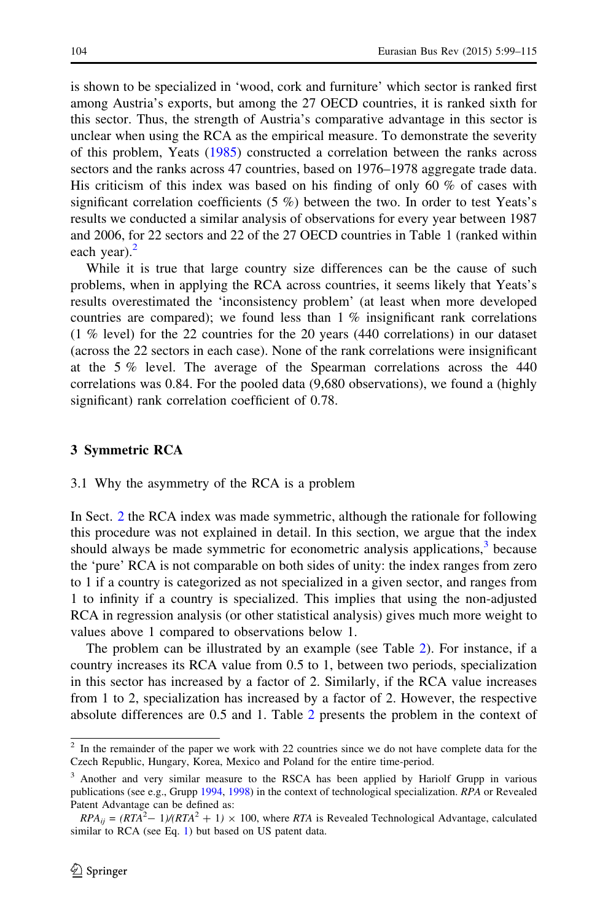<span id="page-5-0"></span>is shown to be specialized in 'wood, cork and furniture' which sector is ranked first among Austria's exports, but among the 27 OECD countries, it is ranked sixth for this sector. Thus, the strength of Austria's comparative advantage in this sector is unclear when using the RCA as the empirical measure. To demonstrate the severity of this problem, Yeats [\(1985](#page-16-0)) constructed a correlation between the ranks across sectors and the ranks across 47 countries, based on 1976–1978 aggregate trade data. His criticism of this index was based on his finding of only 60 % of cases with significant correlation coefficients  $(5\%)$  between the two. In order to test Yeats's results we conducted a similar analysis of observations for every year between 1987 and 2006, for 22 sectors and 22 of the 27 OECD countries in Table 1 (ranked within each year). $<sup>2</sup>$ </sup>

While it is true that large country size differences can be the cause of such problems, when in applying the RCA across countries, it seems likely that Yeats's results overestimated the 'inconsistency problem' (at least when more developed countries are compared); we found less than 1 % insignificant rank correlations (1 % level) for the 22 countries for the 20 years (440 correlations) in our dataset (across the 22 sectors in each case). None of the rank correlations were insignificant at the 5 % level. The average of the Spearman correlations across the 440 correlations was 0.84. For the pooled data (9,680 observations), we found a (highly significant) rank correlation coefficient of 0.78.

### 3 Symmetric RCA

3.1 Why the asymmetry of the RCA is a problem

In Sect. [2](#page-1-0) the RCA index was made symmetric, although the rationale for following this procedure was not explained in detail. In this section, we argue that the index should always be made symmetric for econometric analysis applications, $3$  because the 'pure' RCA is not comparable on both sides of unity: the index ranges from zero to 1 if a country is categorized as not specialized in a given sector, and ranges from 1 to infinity if a country is specialized. This implies that using the non-adjusted RCA in regression analysis (or other statistical analysis) gives much more weight to values above 1 compared to observations below 1.

The problem can be illustrated by an example (see Table [2](#page-6-0)). For instance, if a country increases its RCA value from 0.5 to 1, between two periods, specialization in this sector has increased by a factor of 2. Similarly, if the RCA value increases from 1 to 2, specialization has increased by a factor of 2. However, the respective absolute differences are 0.5 and 1. Table [2](#page-6-0) presents the problem in the context of

 $2$  In the remainder of the paper we work with 22 countries since we do not have complete data for the Czech Republic, Hungary, Korea, Mexico and Poland for the entire time-period.

<sup>&</sup>lt;sup>3</sup> Another and very similar measure to the RSCA has been applied by Hariolf Grupp in various publications (see e.g., Grupp [1994,](#page-15-0) [1998\)](#page-15-0) in the context of technological specialization. RPA or Revealed Patent Advantage can be defined as:

 $RPA_{ij} = (RTA^{2} - 1)/(RTA^{2} + 1) \times 100$ , where RTA is Revealed Technological Advantage, calculated similar to RCA (see Eq. [1\)](#page-1-0) but based on US patent data.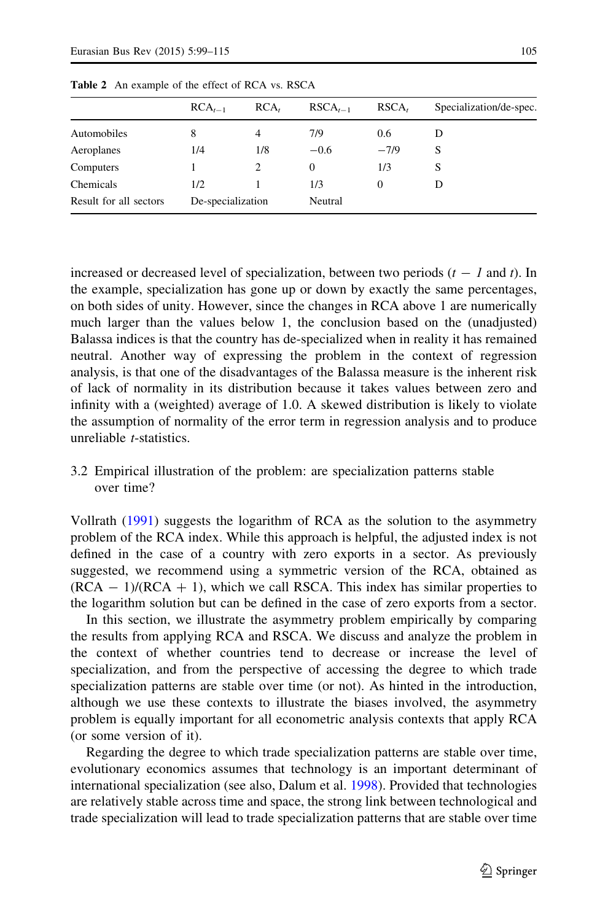|                        | $RCA_{t-1}$       | RCA | $RSCA_{t-1}$ | $RSCA_t$ | Specialization/de-spec. |
|------------------------|-------------------|-----|--------------|----------|-------------------------|
| Automobiles            | 8                 | 4   | 7/9          | 0.6      |                         |
| Aeroplanes             | 1/4               | 1/8 | $-0.6$       | $-7/9$   | S                       |
| Computers              |                   | 2   | $\Omega$     | 1/3      | S                       |
| Chemicals              | 1/2               |     | 1/3          | 0        |                         |
| Result for all sectors | De-specialization |     | Neutral      |          |                         |

<span id="page-6-0"></span>Table 2 An example of the effect of RCA vs. RSCA

increased or decreased level of specialization, between two periods  $(t - 1)$  and t). In the example, specialization has gone up or down by exactly the same percentages, on both sides of unity. However, since the changes in RCA above 1 are numerically much larger than the values below 1, the conclusion based on the (unadjusted) Balassa indices is that the country has de-specialized when in reality it has remained neutral. Another way of expressing the problem in the context of regression analysis, is that one of the disadvantages of the Balassa measure is the inherent risk of lack of normality in its distribution because it takes values between zero and infinity with a (weighted) average of 1.0. A skewed distribution is likely to violate the assumption of normality of the error term in regression analysis and to produce unreliable t-statistics.

# 3.2 Empirical illustration of the problem: are specialization patterns stable over time?

Vollrath ([1991\)](#page-16-0) suggests the logarithm of RCA as the solution to the asymmetry problem of the RCA index. While this approach is helpful, the adjusted index is not defined in the case of a country with zero exports in a sector. As previously suggested, we recommend using a symmetric version of the RCA, obtained as  $(RCA - 1)/(RCA + 1)$ , which we call RSCA. This index has similar properties to the logarithm solution but can be defined in the case of zero exports from a sector.

In this section, we illustrate the asymmetry problem empirically by comparing the results from applying RCA and RSCA. We discuss and analyze the problem in the context of whether countries tend to decrease or increase the level of specialization, and from the perspective of accessing the degree to which trade specialization patterns are stable over time (or not). As hinted in the introduction, although we use these contexts to illustrate the biases involved, the asymmetry problem is equally important for all econometric analysis contexts that apply RCA (or some version of it).

Regarding the degree to which trade specialization patterns are stable over time, evolutionary economics assumes that technology is an important determinant of international specialization (see also, Dalum et al. [1998](#page-15-0)). Provided that technologies are relatively stable across time and space, the strong link between technological and trade specialization will lead to trade specialization patterns that are stable over time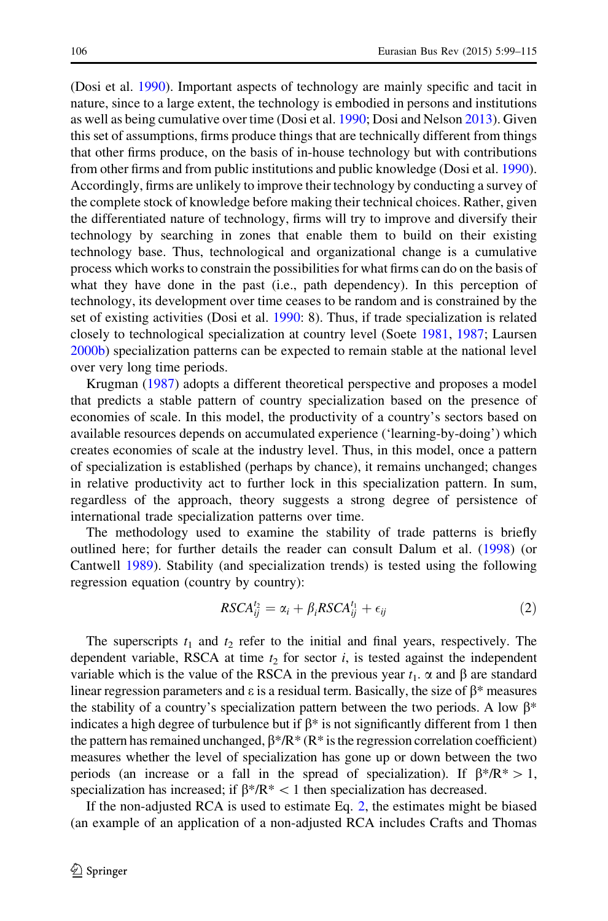<span id="page-7-0"></span>(Dosi et al. [1990\)](#page-15-0). Important aspects of technology are mainly specific and tacit in nature, since to a large extent, the technology is embodied in persons and institutions as well as being cumulative over time (Dosi et al. [1990;](#page-15-0) Dosi and Nelson [2013](#page-15-0)). Given this set of assumptions, firms produce things that are technically different from things that other firms produce, on the basis of in-house technology but with contributions from other firms and from public institutions and public knowledge (Dosi et al. [1990\)](#page-15-0). Accordingly, firms are unlikely to improve their technology by conducting a survey of the complete stock of knowledge before making their technical choices. Rather, given the differentiated nature of technology, firms will try to improve and diversify their technology by searching in zones that enable them to build on their existing technology base. Thus, technological and organizational change is a cumulative process which works to constrain the possibilities for what firms can do on the basis of what they have done in the past (i.e., path dependency). In this perception of technology, its development over time ceases to be random and is constrained by the set of existing activities (Dosi et al. [1990](#page-15-0): 8). Thus, if trade specialization is related closely to technological specialization at country level (Soete [1981,](#page-16-0) [1987](#page-16-0); Laursen [2000b\)](#page-15-0) specialization patterns can be expected to remain stable at the national level over very long time periods.

Krugman [\(1987](#page-15-0)) adopts a different theoretical perspective and proposes a model that predicts a stable pattern of country specialization based on the presence of economies of scale. In this model, the productivity of a country's sectors based on available resources depends on accumulated experience ('learning-by-doing') which creates economies of scale at the industry level. Thus, in this model, once a pattern of specialization is established (perhaps by chance), it remains unchanged; changes in relative productivity act to further lock in this specialization pattern. In sum, regardless of the approach, theory suggests a strong degree of persistence of international trade specialization patterns over time.

The methodology used to examine the stability of trade patterns is briefly outlined here; for further details the reader can consult Dalum et al. [\(1998](#page-15-0)) (or Cantwell [1989\)](#page-15-0). Stability (and specialization trends) is tested using the following regression equation (country by country):

$$
RSCA_{ij}^{t_2} = \alpha_i + \beta_i RSCA_{ij}^{t_1} + \epsilon_{ij}
$$
 (2)

The superscripts  $t_1$  and  $t_2$  refer to the initial and final years, respectively. The dependent variable, RSCA at time  $t_2$  for sector i, is tested against the independent variable which is the value of the RSCA in the previous year  $t_1$ ,  $\alpha$  and  $\beta$  are standard linear regression parameters and  $\varepsilon$  is a residual term. Basically, the size of  $\beta^*$  measures the stability of a country's specialization pattern between the two periods. A low  $\beta^*$ indicates a high degree of turbulence but if  $\beta^*$  is not significantly different from 1 then the pattern has remained unchanged,  $\beta^* / R^*$  ( $R^*$  is the regression correlation coefficient) measures whether the level of specialization has gone up or down between the two periods (an increase or a fall in the spread of specialization). If  $\beta^* / R^* > 1$ , specialization has increased; if  $\beta^* / R^*$  < 1 then specialization has decreased.

If the non-adjusted RCA is used to estimate Eq. 2, the estimates might be biased (an example of an application of a non-adjusted RCA includes Crafts and Thomas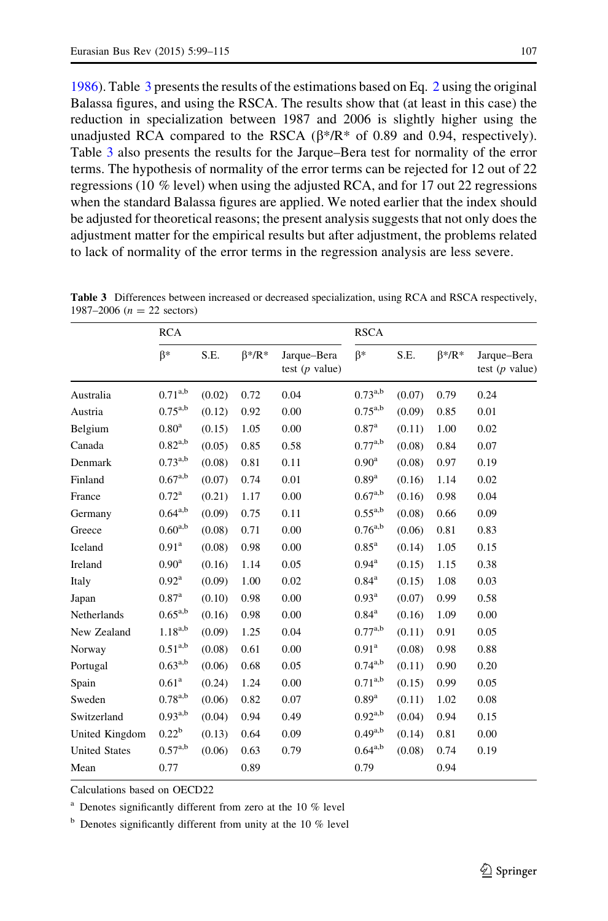[1986\)](#page-15-0). Table 3 presents the results of the estimations based on Eq. [2](#page-7-0) using the original Balassa figures, and using the RSCA. The results show that (at least in this case) the reduction in specialization between 1987 and 2006 is slightly higher using the unadjusted RCA compared to the RSCA  $(\beta^* / R^*$  of 0.89 and 0.94, respectively). Table 3 also presents the results for the Jarque–Bera test for normality of the error terms. The hypothesis of normality of the error terms can be rejected for 12 out of 22 regressions (10 % level) when using the adjusted RCA, and for 17 out 22 regressions when the standard Balassa figures are applied. We noted earlier that the index should be adjusted for theoretical reasons; the present analysis suggests that not only does the adjustment matter for the empirical results but after adjustment, the problems related to lack of normality of the error terms in the regression analysis are less severe.

|                      | <b>RCA</b>          |        |               |                                  | <b>RSCA</b>         |        |               |                                  |
|----------------------|---------------------|--------|---------------|----------------------------------|---------------------|--------|---------------|----------------------------------|
|                      | $\beta^*$           | S.E.   | $\beta^*/R^*$ | Jarque-Bera<br>test ( $p$ value) | β*                  | S.E.   | $\beta^*/R^*$ | Jarque-Bera<br>test ( $p$ value) |
| Australia            | $0.71^{a,b}$        | (0.02) | 0.72          | 0.04                             | $0.73^{a,b}$        | (0.07) | 0.79          | 0.24                             |
| Austria              | $0.75^{a,b}$        | (0.12) | 0.92          | 0.00                             | $0.75^{a,b}$        | (0.09) | 0.85          | 0.01                             |
| Belgium              | 0.80 <sup>a</sup>   | (0.15) | 1.05          | 0.00                             | $0.87$ <sup>a</sup> | (0.11) | 1.00          | 0.02                             |
| Canada               | $0.82^{a,b}$        | (0.05) | 0.85          | 0.58                             | $0.77^{a,b}$        | (0.08) | 0.84          | 0.07                             |
| Denmark              | $0.73^{a,b}$        | (0.08) | 0.81          | 0.11                             | 0.90 <sup>a</sup>   | (0.08) | 0.97          | 0.19                             |
| Finland              | $0.67^{a,b}$        | (0.07) | 0.74          | 0.01                             | $0.89^{a}$          | (0.16) | 1.14          | 0.02                             |
| France               | $0.72^{\rm a}$      | (0.21) | 1.17          | 0.00                             | $0.67^{a,b}$        | (0.16) | 0.98          | 0.04                             |
| Germany              | $0.64^{a,b}$        | (0.09) | 0.75          | 0.11                             | $0.55^{a,b}$        | (0.08) | 0.66          | 0.09                             |
| Greece               | $0.60^{a,b}$        | (0.08) | 0.71          | 0.00                             | $0.76^{a,b}$        | (0.06) | 0.81          | 0.83                             |
| Iceland              | 0.91 <sup>a</sup>   | (0.08) | 0.98          | 0.00                             | $0.85^{\rm a}$      | (0.14) | 1.05          | 0.15                             |
| Ireland              | 0.90 <sup>a</sup>   | (0.16) | 1.14          | 0.05                             | $0.94^{\rm a}$      | (0.15) | 1.15          | 0.38                             |
| Italy                | $0.92^{\rm a}$      | (0.09) | 1.00          | 0.02                             | $0.84^{\rm a}$      | (0.15) | 1.08          | 0.03                             |
| Japan                | $0.87$ <sup>a</sup> | (0.10) | 0.98          | 0.00                             | $0.93^{\rm a}$      | (0.07) | 0.99          | 0.58                             |
| Netherlands          | $0.65^{a,b}$        | (0.16) | 0.98          | 0.00                             | $0.84^{\rm a}$      | (0.16) | 1.09          | 0.00                             |
| New Zealand          | $1.18^{a,b}$        | (0.09) | 1.25          | 0.04                             | $0.77^{a,b}$        | (0.11) | 0.91          | 0.05                             |
| Norway               | $0.51^{a,b}$        | (0.08) | 0.61          | 0.00                             | 0.91 <sup>a</sup>   | (0.08) | 0.98          | 0.88                             |
| Portugal             | $0.63^{a,b}$        | (0.06) | 0.68          | 0.05                             | $0.74^{a,b}$        | (0.11) | 0.90          | 0.20                             |
| Spain                | 0.61 <sup>a</sup>   | (0.24) | 1.24          | 0.00                             | $0.71^{a,b}$        | (0.15) | 0.99          | 0.05                             |
| Sweden               | $0.78^{a,b}$        | (0.06) | 0.82          | 0.07                             | 0.89 <sup>a</sup>   | (0.11) | 1.02          | 0.08                             |
| Switzerland          | $0.93^{a,b}$        | (0.04) | 0.94          | 0.49                             | $0.92^{a,b}$        | (0.04) | 0.94          | 0.15                             |
| United Kingdom       | 0.22 <sup>b</sup>   | (0.13) | 0.64          | 0.09                             | $0.49^{a,b}$        | (0.14) | 0.81          | 0.00                             |
| <b>United States</b> | $0.57^{a,b}$        | (0.06) | 0.63          | 0.79                             | $0.64^{a,b}$        | (0.08) | 0.74          | 0.19                             |
| Mean                 | 0.77                |        | 0.89          |                                  | 0.79                |        | 0.94          |                                  |

Table 3 Differences between increased or decreased specialization, using RCA and RSCA respectively, 1987–2006 ( $n = 22$  sectors)

Calculations based on OECD22

 $a$  Denotes significantly different from zero at the 10 % level

 $<sup>b</sup>$  Denotes significantly different from unity at the 10 % level</sup>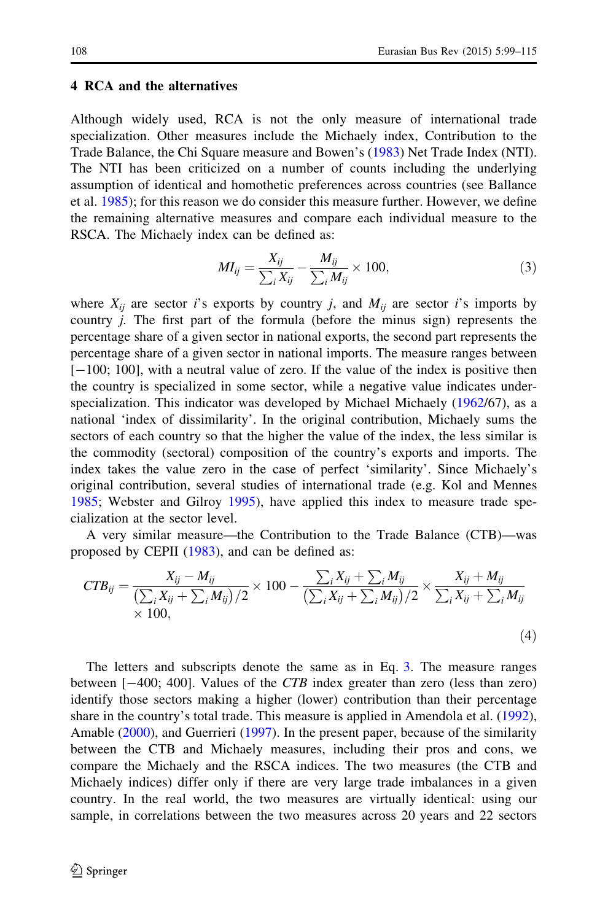## <span id="page-9-0"></span>4 RCA and the alternatives

Although widely used, RCA is not the only measure of international trade specialization. Other measures include the Michaely index, Contribution to the Trade Balance, the Chi Square measure and Bowen's [\(1983](#page-14-0)) Net Trade Index (NTI). The NTI has been criticized on a number of counts including the underlying assumption of identical and homothetic preferences across countries (see Ballance et al. [1985\)](#page-14-0); for this reason we do consider this measure further. However, we define the remaining alternative measures and compare each individual measure to the RSCA. The Michaely index can be defined as:

$$
MI_{ij} = \frac{X_{ij}}{\sum_{i} X_{ij}} - \frac{M_{ij}}{\sum_{i} M_{ij}} \times 100,
$$
\n(3)

where  $X_{ii}$  are sector i's exports by country j, and  $M_{ii}$  are sector i's imports by country j. The first part of the formula (before the minus sign) represents the percentage share of a given sector in national exports, the second part represents the percentage share of a given sector in national imports. The measure ranges between  $[-100; 100]$ , with a neutral value of zero. If the value of the index is positive then the country is specialized in some sector, while a negative value indicates underspecialization. This indicator was developed by Michael Michaely [\(1962](#page-16-0)/67), as a national 'index of dissimilarity'. In the original contribution, Michaely sums the sectors of each country so that the higher the value of the index, the less similar is the commodity (sectoral) composition of the country's exports and imports. The index takes the value zero in the case of perfect 'similarity'. Since Michaely's original contribution, several studies of international trade (e.g. Kol and Mennes [1985;](#page-15-0) Webster and Gilroy [1995\)](#page-16-0), have applied this index to measure trade specialization at the sector level.

A very similar measure—the Contribution to the Trade Balance (CTB)—was proposed by CEPII ([1983\)](#page-15-0), and can be defined as:

$$
CTB_{ij} = \frac{X_{ij} - M_{ij}}{\left(\sum_{i} X_{ij} + \sum_{i} M_{ij}\right)/2} \times 100 - \frac{\sum_{i} X_{ij} + \sum_{i} M_{ij}}{\left(\sum_{i} X_{ij} + \sum_{i} M_{ij}\right)/2} \times \frac{X_{ij} + M_{ij}}{\sum_{i} X_{ij} + \sum_{i} M_{ij}}
$$
\n
$$
\times 100,
$$
\n(4)

The letters and subscripts denote the same as in Eq. 3. The measure ranges between  $[-400; 400]$ . Values of the *CTB* index greater than zero (less than zero) identify those sectors making a higher (lower) contribution than their percentage share in the country's total trade. This measure is applied in Amendola et al. ([1992\)](#page-14-0), Amable ([2000\)](#page-14-0), and Guerrieri ([1997\)](#page-15-0). In the present paper, because of the similarity between the CTB and Michaely measures, including their pros and cons, we compare the Michaely and the RSCA indices. The two measures (the CTB and Michaely indices) differ only if there are very large trade imbalances in a given country. In the real world, the two measures are virtually identical: using our sample, in correlations between the two measures across 20 years and 22 sectors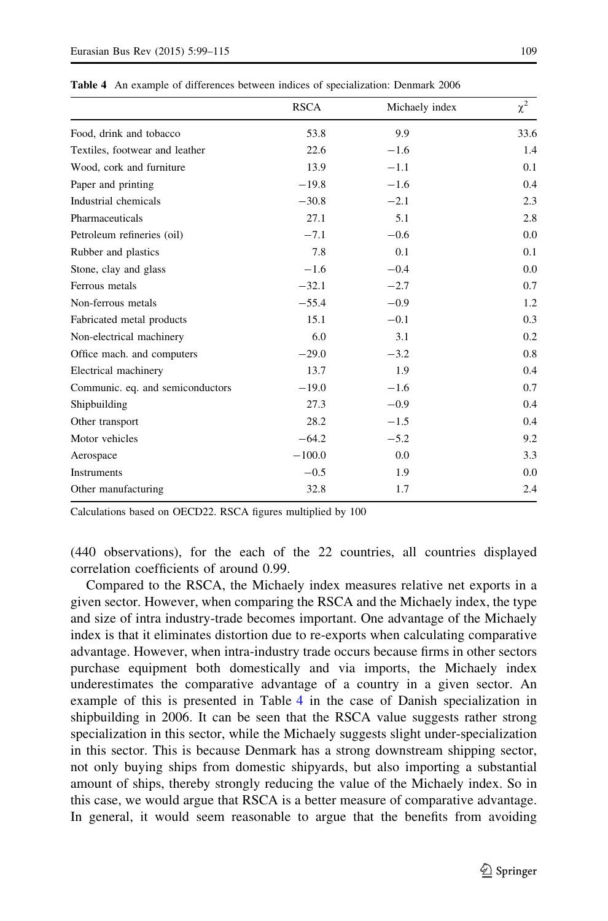|                                  | <b>RSCA</b> | Michaely index | $\chi^2$ |
|----------------------------------|-------------|----------------|----------|
| Food, drink and tobacco          | 53.8        | 9.9            | 33.6     |
| Textiles, footwear and leather   | 22.6        | $-1.6$         | 1.4      |
| Wood, cork and furniture         | 13.9        | $-1.1$         | 0.1      |
| Paper and printing               | $-19.8$     | $-1.6$         | 0.4      |
| Industrial chemicals             | $-30.8$     | $-2.1$         | 2.3      |
| Pharmaceuticals                  | 27.1        | 5.1            | 2.8      |
| Petroleum refineries (oil)       | $-7.1$      | $-0.6$         | 0.0      |
| Rubber and plastics              | 7.8         | 0.1            | 0.1      |
| Stone, clay and glass            | $-1.6$      | $-0.4$         | $0.0\,$  |
| Ferrous metals                   | $-32.1$     | $-2.7$         | 0.7      |
| Non-ferrous metals               | $-55.4$     | $-0.9$         | 1.2      |
| Fabricated metal products        | 15.1        | $-0.1$         | 0.3      |
| Non-electrical machinery         | 6.0         | 3.1            | 0.2      |
| Office mach. and computers       | $-29.0$     | $-3.2$         | 0.8      |
| Electrical machinery             | 13.7        | 1.9            | 0.4      |
| Communic. eq. and semiconductors | $-19.0$     | $-1.6$         | 0.7      |
| Shipbuilding                     | 27.3        | $-0.9$         | 0.4      |
| Other transport                  | 28.2        | $-1.5$         | 0.4      |
| Motor vehicles                   | $-64.2$     | $-5.2$         | 9.2      |
| Aerospace                        | $-100.0$    | 0.0            | 3.3      |
| Instruments                      | $-0.5$      | 1.9            | $0.0\,$  |
| Other manufacturing              | 32.8        | 1.7            | 2.4      |

<span id="page-10-0"></span>Table 4 An example of differences between indices of specialization: Denmark 2006

Calculations based on OECD22. RSCA figures multiplied by 100

(440 observations), for the each of the 22 countries, all countries displayed correlation coefficients of around 0.99.

Compared to the RSCA, the Michaely index measures relative net exports in a given sector. However, when comparing the RSCA and the Michaely index, the type and size of intra industry-trade becomes important. One advantage of the Michaely index is that it eliminates distortion due to re-exports when calculating comparative advantage. However, when intra-industry trade occurs because firms in other sectors purchase equipment both domestically and via imports, the Michaely index underestimates the comparative advantage of a country in a given sector. An example of this is presented in Table 4 in the case of Danish specialization in shipbuilding in 2006. It can be seen that the RSCA value suggests rather strong specialization in this sector, while the Michaely suggests slight under-specialization in this sector. This is because Denmark has a strong downstream shipping sector, not only buying ships from domestic shipyards, but also importing a substantial amount of ships, thereby strongly reducing the value of the Michaely index. So in this case, we would argue that RSCA is a better measure of comparative advantage. In general, it would seem reasonable to argue that the benefits from avoiding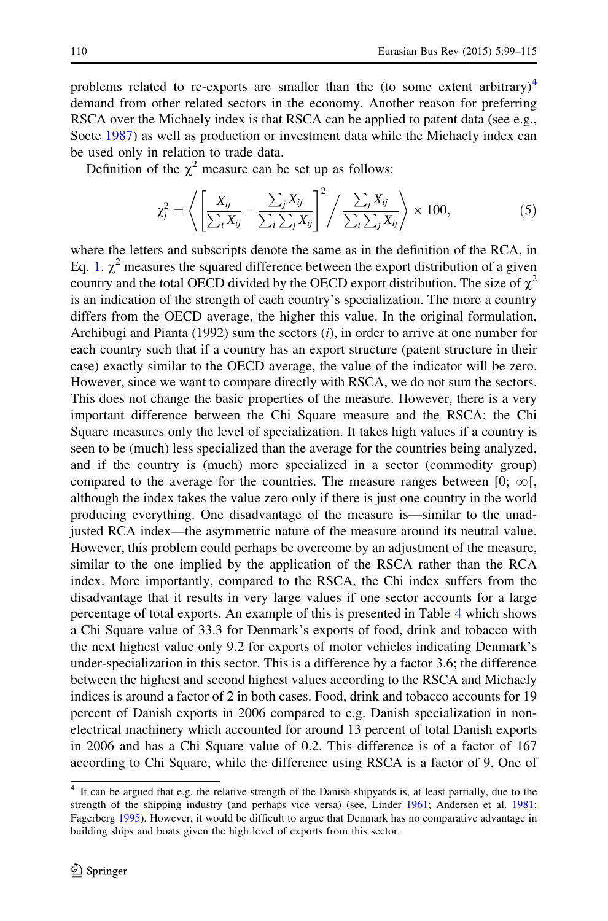problems related to re-exports are smaller than the (to some extent arbitrary)<sup>4</sup> demand from other related sectors in the economy. Another reason for preferring RSCA over the Michaely index is that RSCA can be applied to patent data (see e.g., Soete [1987](#page-16-0)) as well as production or investment data while the Michaely index can be used only in relation to trade data.

Definition of the  $\chi^2$  measure can be set up as follows:

$$
\chi_j^2 = \left\langle \left[ \frac{X_{ij}}{\sum_i X_{ij}} - \frac{\sum_j X_{ij}}{\sum_i \sum_j X_{ij}} \right]^2 / \frac{\sum_j X_{ij}}{\sum_i \sum_j X_{ij}} \right\rangle \times 100, \tag{5}
$$

where the letters and subscripts denote the same as in the definition of the RCA, in Eq. [1.](#page-1-0)  $\chi^2$  measures the squared difference between the export distribution of a given country and the total OECD divided by the OECD export distribution. The size of  $\chi^2$ is an indication of the strength of each country's specialization. The more a country differs from the OECD average, the higher this value. In the original formulation, Archibugi and Pianta (1992) sum the sectors  $(i)$ , in order to arrive at one number for each country such that if a country has an export structure (patent structure in their case) exactly similar to the OECD average, the value of the indicator will be zero. However, since we want to compare directly with RSCA, we do not sum the sectors. This does not change the basic properties of the measure. However, there is a very important difference between the Chi Square measure and the RSCA; the Chi Square measures only the level of specialization. It takes high values if a country is seen to be (much) less specialized than the average for the countries being analyzed, and if the country is (much) more specialized in a sector (commodity group) compared to the average for the countries. The measure ranges between [0;  $\infty$  [, although the index takes the value zero only if there is just one country in the world producing everything. One disadvantage of the measure is—similar to the unadjusted RCA index—the asymmetric nature of the measure around its neutral value. However, this problem could perhaps be overcome by an adjustment of the measure, similar to the one implied by the application of the RSCA rather than the RCA index. More importantly, compared to the RSCA, the Chi index suffers from the disadvantage that it results in very large values if one sector accounts for a large percentage of total exports. An example of this is presented in Table [4](#page-10-0) which shows a Chi Square value of 33.3 for Denmark's exports of food, drink and tobacco with the next highest value only 9.2 for exports of motor vehicles indicating Denmark's under-specialization in this sector. This is a difference by a factor 3.6; the difference between the highest and second highest values according to the RSCA and Michaely indices is around a factor of 2 in both cases. Food, drink and tobacco accounts for 19 percent of Danish exports in 2006 compared to e.g. Danish specialization in nonelectrical machinery which accounted for around 13 percent of total Danish exports in 2006 and has a Chi Square value of 0.2. This difference is of a factor of 167 according to Chi Square, while the difference using RSCA is a factor of 9. One of

<sup>&</sup>lt;sup>4</sup> It can be argued that e.g. the relative strength of the Danish shipyards is, at least partially, due to the strength of the shipping industry (and perhaps vice versa) (see, Linder [1961;](#page-15-0) Andersen et al. [1981](#page-14-0); Fagerberg [1995](#page-15-0)). However, it would be difficult to argue that Denmark has no comparative advantage in building ships and boats given the high level of exports from this sector.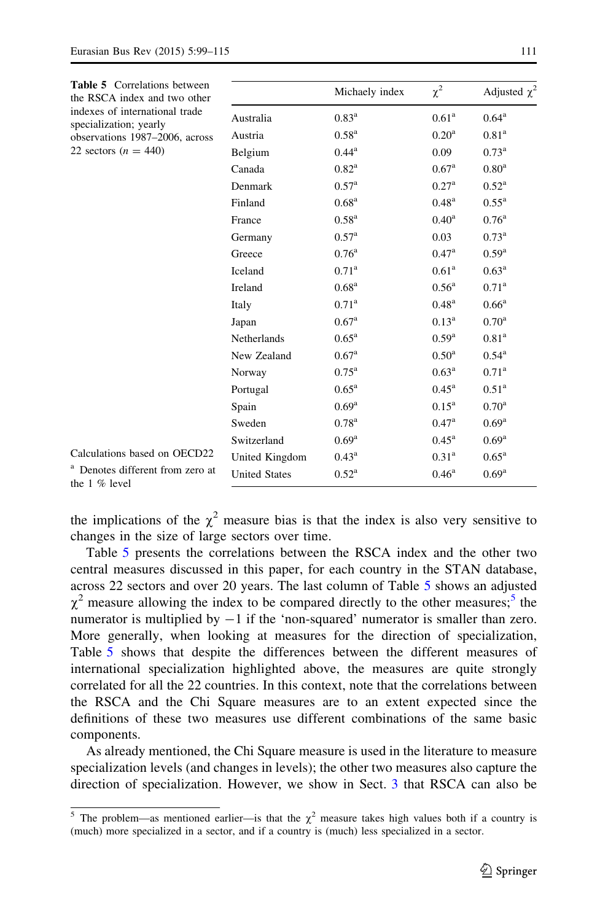| <b>Table 5</b> Correlations between<br>the RSCA index and two other |                      | Michaely index    | $\chi^2$            | Adjusted $\chi^2$ |
|---------------------------------------------------------------------|----------------------|-------------------|---------------------|-------------------|
| indexes of international trade<br>specialization; yearly            | Australia            | $0.83^{\rm a}$    | $0.61^{\rm a}$      | $0.64^{\rm a}$    |
| observations 1987–2006, across                                      | Austria              | $0.58^{a}$        | 0.20 <sup>a</sup>   | 0.81 <sup>a</sup> |
| 22 sectors $(n = 440)$                                              | Belgium              | $0.44^{\rm a}$    | 0.09                | $0.73^{\rm a}$    |
|                                                                     | Canada               | $0.82^{\rm a}$    | $0.67^{\rm a}$      | 0.80 <sup>a</sup> |
|                                                                     | Denmark              | $0.57^{\rm a}$    | $0.27^{\rm a}$      | $0.52^{\rm a}$    |
|                                                                     | Finland              | 0.68 <sup>a</sup> | 0.48 <sup>a</sup>   | $0.55^{\rm a}$    |
|                                                                     | France               | 0.58 <sup>a</sup> | $0.40^{\rm a}$      | $0.76^{\rm a}$    |
|                                                                     | Germany              | $0.57^{\rm a}$    | 0.03                | $0.73^{\rm a}$    |
|                                                                     | Greece               | $0.76^{\rm a}$    | $0.47^{\rm a}$      | 0.59 <sup>a</sup> |
|                                                                     | Iceland              | $0.71^{\rm a}$    | $0.61^{\rm a}$      | $0.63^{\rm a}$    |
|                                                                     | Ireland              | 0.68 <sup>a</sup> | $0.56^{\rm a}$      | $0.71^{\rm a}$    |
|                                                                     | Italy                | $0.71^{\rm a}$    | $0.48^{\rm a}$      | $0.66^{\rm a}$    |
|                                                                     | Japan                | $0.67^{\rm a}$    | $0.13^{\rm a}$      | 0.70 <sup>a</sup> |
|                                                                     | Netherlands          | 0.65 <sup>a</sup> | $0.59^{\rm a}$      | 0.81 <sup>a</sup> |
|                                                                     | New Zealand          | 0.67 <sup>a</sup> | 0.50 <sup>a</sup>   | $0.54^{\rm a}$    |
|                                                                     | Norway               | $0.75^{\rm a}$    | $0.63^{\rm a}$      | $0.71^{\rm a}$    |
|                                                                     | Portugal             | $0.65^{\rm a}$    | $0.45^{\rm a}$      | $0.51^{\rm a}$    |
|                                                                     | Spain                | 0.69 <sup>a</sup> | $0.15^{\rm a}$      | 0.70 <sup>a</sup> |
|                                                                     | Sweden               | $0.78^{a}$        | 0.47 <sup>a</sup>   | 0.69 <sup>a</sup> |
|                                                                     | Switzerland          | 0.69 <sup>a</sup> | $0.45^{\mathrm{a}}$ | 0.69 <sup>a</sup> |
| Calculations based on OECD22                                        | United Kingdom       | $0.43^{\rm a}$    | 0.31 <sup>a</sup>   | $0.65^{\rm a}$    |
| <sup>a</sup> Denotes different from zero at<br>the 1 % level        | <b>United States</b> | $0.52^{\rm a}$    | $0.46^{\rm a}$      | 0.69 <sup>a</sup> |

the implications of the  $\chi^2$  measure bias is that the index is also very sensitive to changes in the size of large sectors over time.

Table 5 presents the correlations between the RSCA index and the other two central measures discussed in this paper, for each country in the STAN database, across 22 sectors and over 20 years. The last column of Table 5 shows an adjusted  $\chi^2$  measure allowing the index to be compared directly to the other measures;<sup>5</sup> the numerator is multiplied by  $-1$  if the 'non-squared' numerator is smaller than zero. More generally, when looking at measures for the direction of specialization, Table 5 shows that despite the differences between the different measures of international specialization highlighted above, the measures are quite strongly correlated for all the 22 countries. In this context, note that the correlations between the RSCA and the Chi Square measures are to an extent expected since the definitions of these two measures use different combinations of the same basic components.

As already mentioned, the Chi Square measure is used in the literature to measure specialization levels (and changes in levels); the other two measures also capture the direction of specialization. However, we show in Sect. [3](#page-5-0) that RSCA can also be

 $\overline{5}$  The problem—as mentioned earlier—is that the  $\chi^2$  measure takes high values both if a country is (much) more specialized in a sector, and if a country is (much) less specialized in a sector.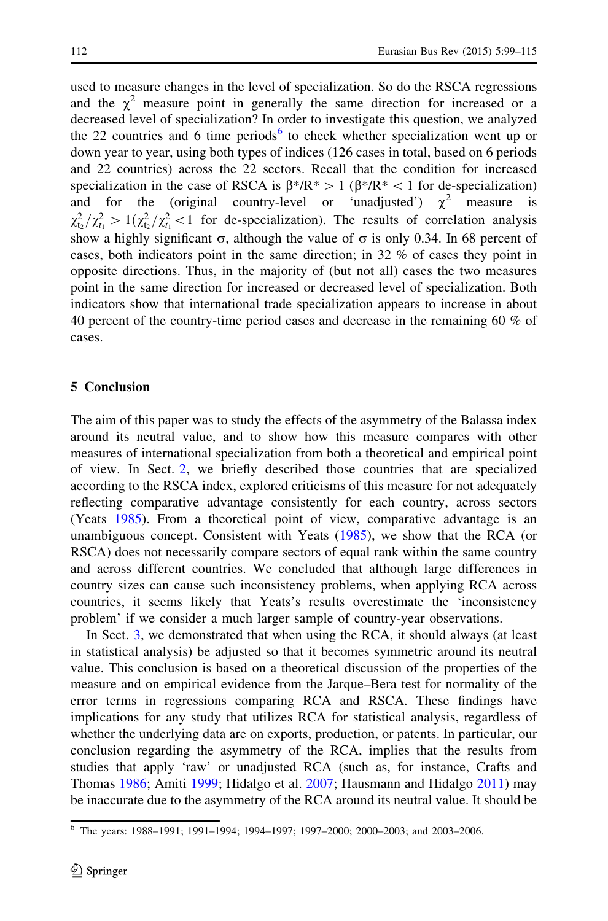<span id="page-13-0"></span>used to measure changes in the level of specialization. So do the RSCA regressions and the  $\chi^2$  measure point in generally the same direction for increased or a decreased level of specialization? In order to investigate this question, we analyzed the 22 countries and 6 time periods<sup>6</sup> to check whether specialization went up or down year to year, using both types of indices (126 cases in total, based on 6 periods and 22 countries) across the 22 sectors. Recall that the condition for increased specialization in the case of RSCA is  $\beta^* / R^* > 1$  ( $\beta^* / R^* < 1$  for de-specialization) and for the (original country-level or 'unadjusted')  $\chi^2$  measure  $\chi^2_{t_2}/\chi^2_{t_1} > 1/\chi^2_{t_2}/\chi^2_{t_1} < 1$  for de-specialization). The results of correlation analysis show a highly significant  $\sigma$ , although the value of  $\sigma$  is only 0.34. In 68 percent of cases, both indicators point in the same direction; in 32 % of cases they point in opposite directions. Thus, in the majority of (but not all) cases the two measures point in the same direction for increased or decreased level of specialization. Both indicators show that international trade specialization appears to increase in about 40 percent of the country-time period cases and decrease in the remaining 60 % of cases.

## 5 Conclusion

The aim of this paper was to study the effects of the asymmetry of the Balassa index around its neutral value, and to show how this measure compares with other measures of international specialization from both a theoretical and empirical point of view. In Sect. [2,](#page-1-0) we briefly described those countries that are specialized according to the RSCA index, explored criticisms of this measure for not adequately reflecting comparative advantage consistently for each country, across sectors (Yeats [1985\)](#page-16-0). From a theoretical point of view, comparative advantage is an unambiguous concept. Consistent with Yeats [\(1985](#page-16-0)), we show that the RCA (or RSCA) does not necessarily compare sectors of equal rank within the same country and across different countries. We concluded that although large differences in country sizes can cause such inconsistency problems, when applying RCA across countries, it seems likely that Yeats's results overestimate the 'inconsistency problem' if we consider a much larger sample of country-year observations.

In Sect. [3,](#page-5-0) we demonstrated that when using the RCA, it should always (at least in statistical analysis) be adjusted so that it becomes symmetric around its neutral value. This conclusion is based on a theoretical discussion of the properties of the measure and on empirical evidence from the Jarque–Bera test for normality of the error terms in regressions comparing RCA and RSCA. These findings have implications for any study that utilizes RCA for statistical analysis, regardless of whether the underlying data are on exports, production, or patents. In particular, our conclusion regarding the asymmetry of the RCA, implies that the results from studies that apply 'raw' or unadjusted RCA (such as, for instance, Crafts and Thomas [1986](#page-15-0); Amiti [1999;](#page-14-0) Hidalgo et al. [2007](#page-15-0); Hausmann and Hidalgo [2011\)](#page-15-0) may be inaccurate due to the asymmetry of the RCA around its neutral value. It should be

<sup>6</sup> The years: 1988–1991; 1991–1994; 1994–1997; 1997–2000; 2000–2003; and 2003–2006.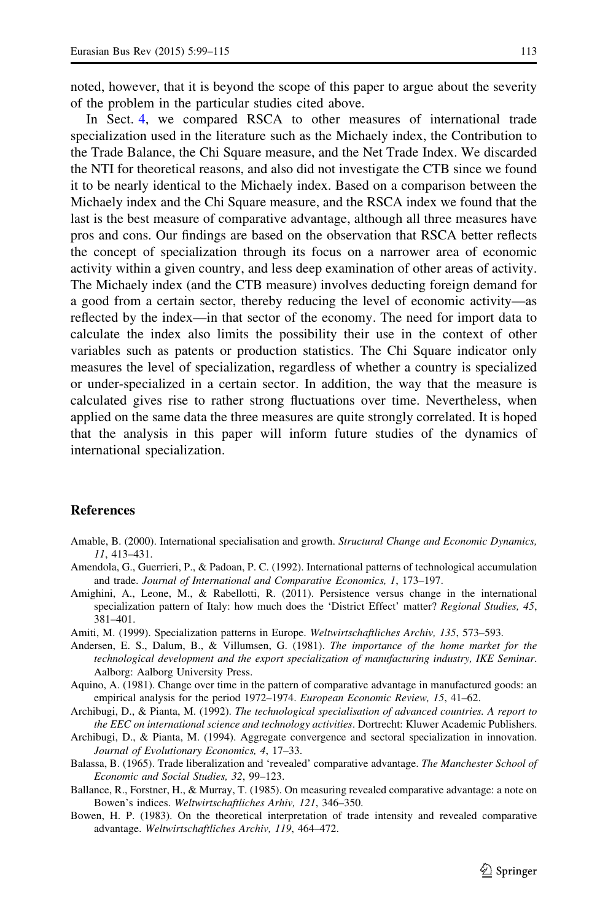<span id="page-14-0"></span>noted, however, that it is beyond the scope of this paper to argue about the severity of the problem in the particular studies cited above.

In Sect. [4](#page-9-0), we compared RSCA to other measures of international trade specialization used in the literature such as the Michaely index, the Contribution to the Trade Balance, the Chi Square measure, and the Net Trade Index. We discarded the NTI for theoretical reasons, and also did not investigate the CTB since we found it to be nearly identical to the Michaely index. Based on a comparison between the Michaely index and the Chi Square measure, and the RSCA index we found that the last is the best measure of comparative advantage, although all three measures have pros and cons. Our findings are based on the observation that RSCA better reflects the concept of specialization through its focus on a narrower area of economic activity within a given country, and less deep examination of other areas of activity. The Michaely index (and the CTB measure) involves deducting foreign demand for a good from a certain sector, thereby reducing the level of economic activity—as reflected by the index—in that sector of the economy. The need for import data to calculate the index also limits the possibility their use in the context of other variables such as patents or production statistics. The Chi Square indicator only measures the level of specialization, regardless of whether a country is specialized or under-specialized in a certain sector. In addition, the way that the measure is calculated gives rise to rather strong fluctuations over time. Nevertheless, when applied on the same data the three measures are quite strongly correlated. It is hoped that the analysis in this paper will inform future studies of the dynamics of international specialization.

## **References**

- Amable, B. (2000). International specialisation and growth. Structural Change and Economic Dynamics, 11, 413–431.
- Amendola, G., Guerrieri, P., & Padoan, P. C. (1992). International patterns of technological accumulation and trade. Journal of International and Comparative Economics, 1, 173–197.
- Amighini, A., Leone, M., & Rabellotti, R. (2011). Persistence versus change in the international specialization pattern of Italy: how much does the 'District Effect' matter? Regional Studies, 45, 381–401.
- Amiti, M. (1999). Specialization patterns in Europe. Weltwirtschaftliches Archiv, 135, 573–593.
- Andersen, E. S., Dalum, B., & Villumsen, G. (1981). The importance of the home market for the technological development and the export specialization of manufacturing industry, IKE Seminar. Aalborg: Aalborg University Press.
- Aquino, A. (1981). Change over time in the pattern of comparative advantage in manufactured goods: an empirical analysis for the period 1972–1974. European Economic Review, 15, 41–62.
- Archibugi, D., & Pianta, M. (1992). The technological specialisation of advanced countries. A report to the EEC on international science and technology activities. Dortrecht: Kluwer Academic Publishers.
- Archibugi, D., & Pianta, M. (1994). Aggregate convergence and sectoral specialization in innovation. Journal of Evolutionary Economics, 4, 17–33.
- Balassa, B. (1965). Trade liberalization and 'revealed' comparative advantage. The Manchester School of Economic and Social Studies, 32, 99–123.
- Ballance, R., Forstner, H., & Murray, T. (1985). On measuring revealed comparative advantage: a note on Bowen's indices. Weltwirtschaftliches Arhiv, 121, 346–350.
- Bowen, H. P. (1983). On the theoretical interpretation of trade intensity and revealed comparative advantage. Weltwirtschaftliches Archiv, 119, 464–472.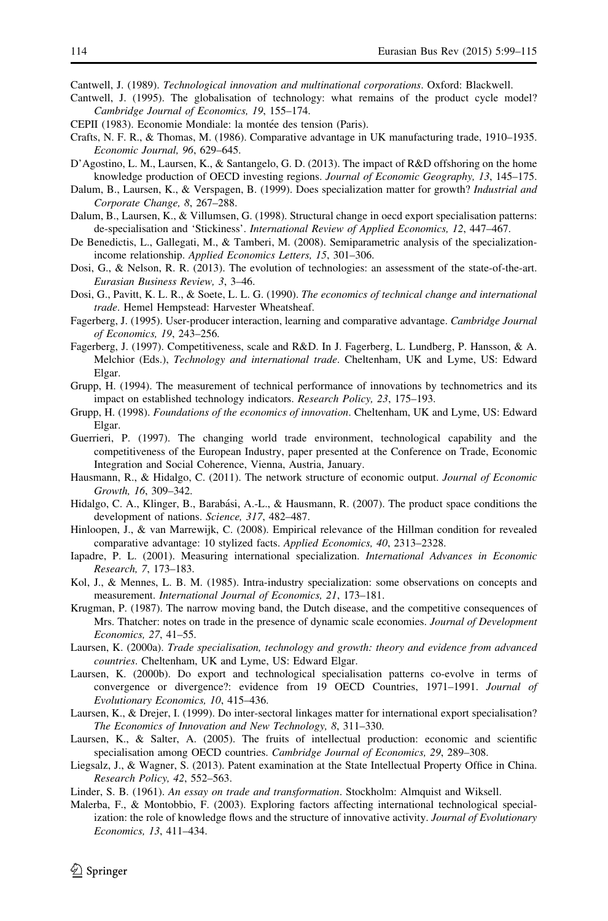<span id="page-15-0"></span>Cantwell, J. (1989). Technological innovation and multinational corporations. Oxford: Blackwell.

- Cantwell, J. (1995). The globalisation of technology: what remains of the product cycle model? Cambridge Journal of Economics, 19, 155–174.
- CEPII (1983). Economie Mondiale: la montée des tension (Paris).
- Crafts, N. F. R., & Thomas, M. (1986). Comparative advantage in UK manufacturing trade, 1910–1935. Economic Journal, 96, 629–645.
- D'Agostino, L. M., Laursen, K., & Santangelo, G. D. (2013). The impact of R&D offshoring on the home knowledge production of OECD investing regions. Journal of Economic Geography, 13, 145–175.
- Dalum, B., Laursen, K., & Verspagen, B. (1999). Does specialization matter for growth? *Industrial and* Corporate Change, 8, 267–288.
- Dalum, B., Laursen, K., & Villumsen, G. (1998). Structural change in oecd export specialisation patterns: de-specialisation and 'Stickiness'. International Review of Applied Economics, 12, 447–467.
- De Benedictis, L., Gallegati, M., & Tamberi, M. (2008). Semiparametric analysis of the specializationincome relationship. Applied Economics Letters, 15, 301–306.
- Dosi, G., & Nelson, R. R. (2013). The evolution of technologies: an assessment of the state-of-the-art. Eurasian Business Review, 3, 3–46.
- Dosi, G., Pavitt, K. L. R., & Soete, L. L. G. (1990). The economics of technical change and international trade. Hemel Hempstead: Harvester Wheatsheaf.
- Fagerberg, J. (1995). User-producer interaction, learning and comparative advantage. Cambridge Journal of Economics, 19, 243–256.
- Fagerberg, J. (1997). Competitiveness, scale and R&D. In J. Fagerberg, L. Lundberg, P. Hansson, & A. Melchior (Eds.), Technology and international trade. Cheltenham, UK and Lyme, US: Edward Elgar.
- Grupp, H. (1994). The measurement of technical performance of innovations by technometrics and its impact on established technology indicators. Research Policy, 23, 175–193.
- Grupp, H. (1998). Foundations of the economics of innovation. Cheltenham, UK and Lyme, US: Edward Elgar.
- Guerrieri, P. (1997). The changing world trade environment, technological capability and the competitiveness of the European Industry, paper presented at the Conference on Trade, Economic Integration and Social Coherence, Vienna, Austria, January.
- Hausmann, R., & Hidalgo, C. (2011). The network structure of economic output. *Journal of Economic* Growth, 16, 309–342.
- Hidalgo, C. A., Klinger, B., Barabási, A.-L., & Hausmann, R. (2007). The product space conditions the development of nations. Science, 317, 482–487.
- Hinloopen, J., & van Marrewijk, C. (2008). Empirical relevance of the Hillman condition for revealed comparative advantage: 10 stylized facts. Applied Economics, 40, 2313–2328.
- Iapadre, P. L. (2001). Measuring international specialization. International Advances in Economic Research, 7, 173–183.
- Kol, J., & Mennes, L. B. M. (1985). Intra-industry specialization: some observations on concepts and measurement. International Journal of Economics, 21, 173–181.
- Krugman, P. (1987). The narrow moving band, the Dutch disease, and the competitive consequences of Mrs. Thatcher: notes on trade in the presence of dynamic scale economies. Journal of Development Economics, 27, 41–55.
- Laursen, K. (2000a). Trade specialisation, technology and growth: theory and evidence from advanced countries. Cheltenham, UK and Lyme, US: Edward Elgar.
- Laursen, K. (2000b). Do export and technological specialisation patterns co-evolve in terms of convergence or divergence?: evidence from 19 OECD Countries, 1971–1991. Journal of Evolutionary Economics, 10, 415–436.
- Laursen, K., & Drejer, I. (1999). Do inter-sectoral linkages matter for international export specialisation? The Economics of Innovation and New Technology, 8, 311–330.
- Laursen, K., & Salter, A. (2005). The fruits of intellectual production: economic and scientific specialisation among OECD countries. Cambridge Journal of Economics, 29, 289–308.
- Liegsalz, J., & Wagner, S. (2013). Patent examination at the State Intellectual Property Office in China. Research Policy, 42, 552–563.
- Linder, S. B. (1961). An essay on trade and transformation. Stockholm: Almquist and Wiksell.
- Malerba, F., & Montobbio, F. (2003). Exploring factors affecting international technological specialization: the role of knowledge flows and the structure of innovative activity. Journal of Evolutionary Economics, 13, 411–434.